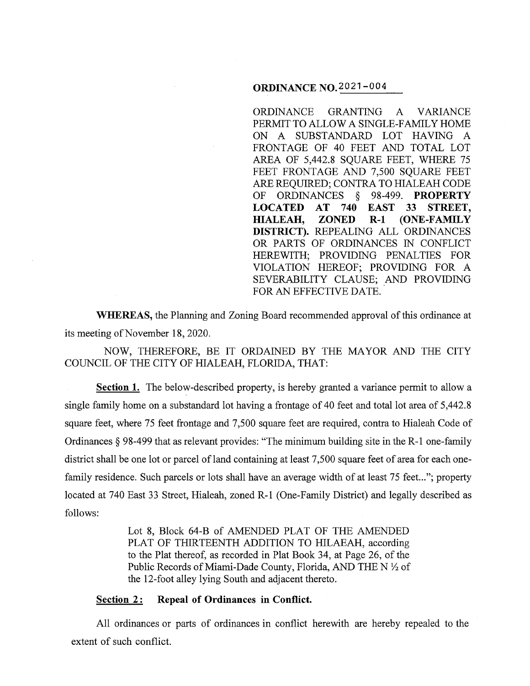## **ORDINANCE** N0.2021-004

ORDINANCE GRANTING A VARIANCE PERMIT TO ALLOW A SINGLE-FAMILY HOME ON A SUBSTANDARD LOT HAVING A FRONTAGE OF 40 FEET AND TOTAL LOT AREA OF 5,442.8 SQUARE FEET, WHERE 75 FEET FRONTAGE AND 7,500 SQUARE FEET ARE REQUIRED; CONTRA TO HIALEAH CODE OF ORDINANCES § 98-499. **PROPERTY LOCATED AT 740 EAST 33 STREET, HIALEAH, ZONED R-1 (ONE-FAMILY DISTRICT).** REPEALING ALL ORDINANCES OR PARTS OF ORDINANCES IN CONFLICT HEREWITH; PROVIDING PENALTIES FOR VIOLATION HEREOF; PROVIDING FOR A SEVERABILITY CLAUSE; AND PROVIDING FOR AN EFFECTIVE DATE.

**WHEREAS,** the Planning and Zoning Board recommended approval of this ordinance at its meeting of November 18, 2020.

NOW, THEREFORE, BE IT ORDAINED BY THE MAYOR AND THE CITY COUNCIL OF THE CITY OF HIALEAH, FLORIDA, THAT:

**Section 1.** The below-described property, is hereby granted a variance permit to allow a single family home on a substandard lot having a frontage of 40 feet and total lot area of 5,442.8 square feet, where 75 feet frontage and 7,500 square feet are required, contra to Hialeah Code of Ordinances§ 98-499 that as relevant provides: "The minimum building site in the R-1 one-family district shall be one lot or parcel of land containing at least 7,500 square feet of area for each onefamily residence. Such parcels or lots shall have an average width of at least 75 feet..."; property located at 740 East 33 Street, Hialeah, zoned R-1 (One-Family District) and legally described as follows:

> Lot 8, Block 64-B of AMENDED PLAT OF THE AMENDED PLAT OF THIRTEENTH ADDITION TO HILAEAH, according to the Plat thereof, as recorded in Plat Book 34, at Page 26, of the Public Records of Miami-Dade County, Florida, AND THE N  $\frac{1}{2}$  of the 12-foot alley lying South and adjacent thereto.

# **<u>Section 2:</u> Repeal of Ordinances in Conflict.**

All ordinances or parts of ordinances in conflict herewith are hereby repealed to the extent of such conflict.